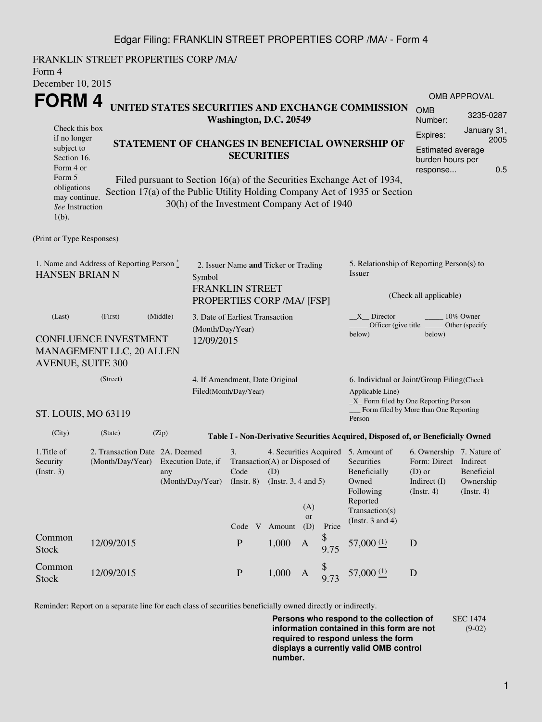## Edgar Filing: FRANKLIN STREET PROPERTIES CORP /MA/ - Form 4

FRANKLIN STREET PROPERTIES CORP /MA/ Form 4 December 10, 2015 **FORM 4** Check this box if no longer subject to Section 16. Form 4 or Form 5 obligations may continue. *See* Instruction 1(b). **UNITED STATES SECURITIES AND EXCHANGE COMMISSION Washington, D.C. 20549 STATEMENT OF CHANGES IN BENEFICIAL OWNERSHIP OF SECURITIES** Filed pursuant to Section 16(a) of the Securities Exchange Act of 1934, Section 17(a) of the Public Utility Holding Company Act of 1935 or Section 30(h) of the Investment Company Act of 1940 OMB APPROVAL OMB Number: 3235-0287 Expires: January 31, 2005 Estimated average burden hours per response... 0.5 (Print or Type Responses) 1. Name and Address of Reporting Person  $\degree$ HANSEN BRIAN N 2. Issuer Name **and** Ticker or Trading Symbol FRANKLIN STREET PROPERTIES CORP /MA/ [FSP] 5. Relationship of Reporting Person(s) to Issuer (Check all applicable) \_X\_\_ Director \_\_\_\_\_\_\_\_ 10% Owner Officer (give title below) Other (specify below) (Last) (First) (Middle) CONFLUENCE INVESTMENT MANAGEMENT LLC, 20 ALLEN AVENUE, SUITE 300 3. Date of Earliest Transaction (Month/Day/Year) 12/09/2015 (Street) ST. LOUIS, MO 63119 4. If Amendment, Date Original Filed(Month/Day/Year) 6. Individual or Joint/Group Filing(Check Applicable Line) \_X\_ Form filed by One Reporting Person Form filed by More than One Reporting Person (City) (State) (Zip) **Table I - Non-Derivative Securities Acquired, Disposed of, or Beneficially Owned** 1.Title of Security (Instr. 3) 2. Transaction Date 2A. Deemed (Month/Day/Year) Execution Date, if any (Month/Day/Year) 3. Transaction (A) or Disposed of Code (Instr. 8) 4. Securities Acquired 5. Amount of (D) (Instr. 3, 4 and 5) **Securities** Beneficially Owned Following Reported Transaction(s) (Instr. 3 and 4) 6. Ownership 7. Nature of Form: Direct Indirect (D) or Indirect (I) (Instr. 4) Beneficial Ownership  $(Insert. 4)$ Code V Amount (A) or (D) Price Common Stock 12/09/2015 <sup>P</sup> 1,000 <sup>A</sup> \$  $\frac{9}{9}$  75 57,000  $\frac{(1)}{2}$  D Common Stock 12/09/2015 P 1,000 A \$  $57,000(1)$  D

Reminder: Report on a separate line for each class of securities beneficially owned directly or indirectly.

**Persons who respond to the collection of information contained in this form are not required to respond unless the form displays a currently valid OMB control number.** SEC 1474 (9-02)